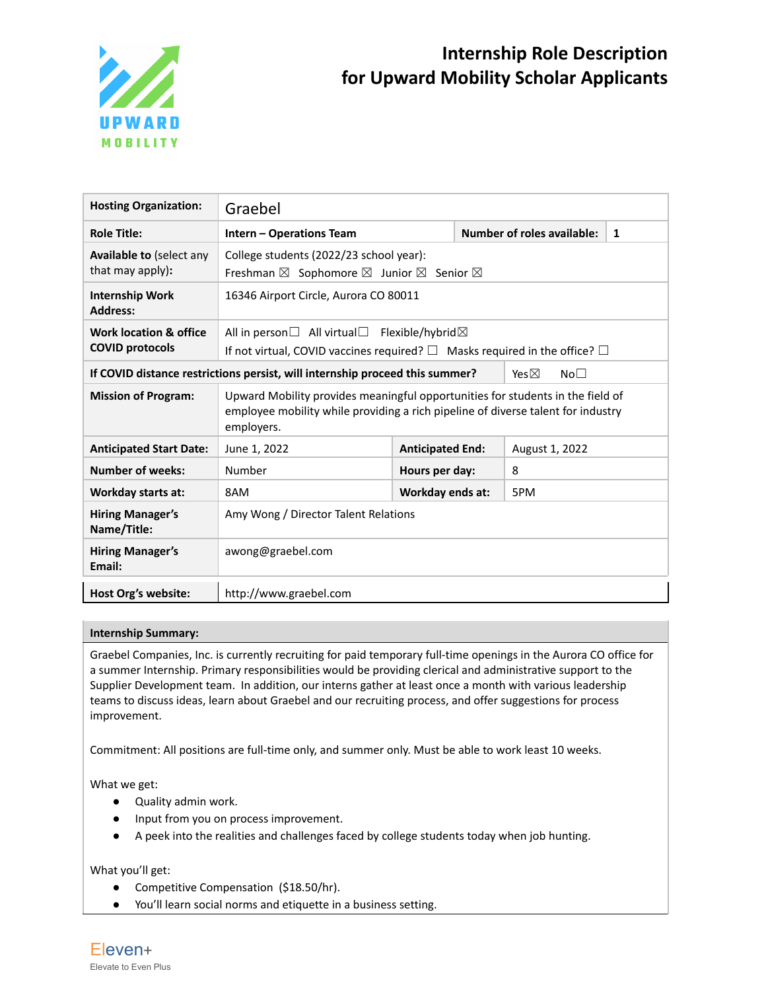

| <b>Hosting Organization:</b>                                                                                       | Graebel                                                                                                                                                                          |                         |                                 |                |  |
|--------------------------------------------------------------------------------------------------------------------|----------------------------------------------------------------------------------------------------------------------------------------------------------------------------------|-------------------------|---------------------------------|----------------|--|
| <b>Role Title:</b>                                                                                                 | Intern - Operations Team                                                                                                                                                         |                         | Number of roles available:<br>1 |                |  |
| Available to (select any<br>that may apply):                                                                       | College students (2022/23 school year):<br>Freshman $\boxtimes$ Sophomore $\boxtimes$ Junior $\boxtimes$ Senior $\boxtimes$                                                      |                         |                                 |                |  |
| <b>Internship Work</b><br><b>Address:</b>                                                                          | 16346 Airport Circle, Aurora CO 80011                                                                                                                                            |                         |                                 |                |  |
| Work location & office<br><b>COVID protocols</b>                                                                   | All in person $\Box$ All virtual $\Box$ Flexible/hybrid $\boxtimes$<br>If not virtual, COVID vaccines required? $\square$ Masks required in the office? $\square$                |                         |                                 |                |  |
| If COVID distance restrictions persist, will internship proceed this summer?<br>Yes $\boxtimes$<br>No <sub>1</sub> |                                                                                                                                                                                  |                         |                                 |                |  |
| <b>Mission of Program:</b>                                                                                         | Upward Mobility provides meaningful opportunities for students in the field of<br>employee mobility while providing a rich pipeline of diverse talent for industry<br>employers. |                         |                                 |                |  |
| <b>Anticipated Start Date:</b>                                                                                     | June 1, 2022                                                                                                                                                                     | <b>Anticipated End:</b> |                                 | August 1, 2022 |  |
| <b>Number of weeks:</b>                                                                                            | Number                                                                                                                                                                           | Hours per day:          |                                 | 8              |  |
| <b>Workday starts at:</b>                                                                                          | 8AM                                                                                                                                                                              | Workday ends at:        |                                 | 5PM            |  |
| <b>Hiring Manager's</b><br>Name/Title:                                                                             | Amy Wong / Director Talent Relations                                                                                                                                             |                         |                                 |                |  |
| <b>Hiring Manager's</b><br>Email:                                                                                  | awong@graebel.com                                                                                                                                                                |                         |                                 |                |  |
| Host Org's website:                                                                                                | http://www.graebel.com                                                                                                                                                           |                         |                                 |                |  |

## **Internship Summary:**

Graebel Companies, Inc. is currently recruiting for paid temporary full-time openings in the Aurora CO office for a summer Internship. Primary responsibilities would be providing clerical and administrative support to the Supplier Development team. In addition, our interns gather at least once a month with various leadership teams to discuss ideas, learn about Graebel and our recruiting process, and offer suggestions for process improvement.

Commitment: All positions are full-time only, and summer only. Must be able to work least 10 weeks.

What we get:

- Quality admin work.
- Input from you on process improvement.
- A peek into the realities and challenges faced by college students today when job hunting.

What you'll get:

- Competitive Compensation (\$18.50/hr).
- You'll learn social norms and etiquette in a business setting.